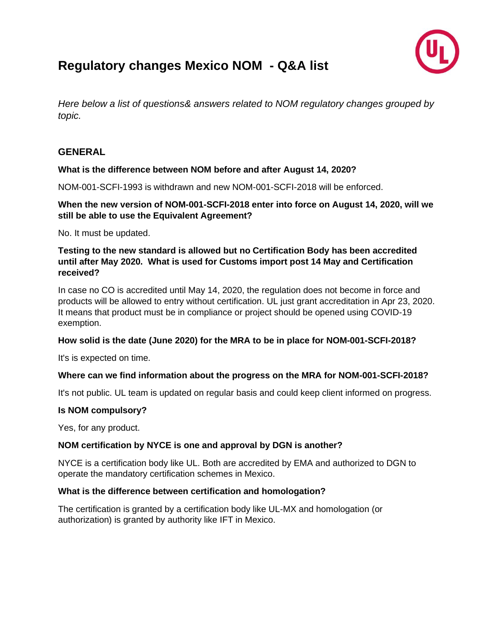

# **Regulatory changes Mexico NOM - Q&A list**

*Here below a list of questions& answers related to NOM regulatory changes grouped by topic.*

# **GENERAL**

#### **What is the difference between NOM before and after August 14, 2020?**

NOM-001-SCFI-1993 is withdrawn and new NOM-001-SCFI-2018 will be enforced.

#### **When the new version of NOM-001-SCFI-2018 enter into force on August 14, 2020, will we still be able to use the Equivalent Agreement?**

No. It must be updated.

#### **Testing to the new standard is allowed but no Certification Body has been accredited until after May 2020. What is used for Customs import post 14 May and Certification received?**

In case no CO is accredited until May 14, 2020, the regulation does not become in force and products will be allowed to entry without certification. UL just grant accreditation in Apr 23, 2020. It means that product must be in compliance or project should be opened using COVID-19 exemption.

#### **How solid is the date (June 2020) for the MRA to be in place for NOM-001-SCFI-2018?**

It's is expected on time.

#### **Where can we find information about the progress on the MRA for NOM-001-SCFI-2018?**

It's not public. UL team is updated on regular basis and could keep client informed on progress.

#### **Is NOM compulsory?**

Yes, for any product.

#### **NOM certification by NYCE is one and approval by DGN is another?**

NYCE is a certification body like UL. Both are accredited by EMA and authorized to DGN to operate the mandatory certification schemes in Mexico.

#### **What is the difference between certification and homologation?**

The certification is granted by a certification body like UL-MX and homologation (or authorization) is granted by authority like IFT in Mexico.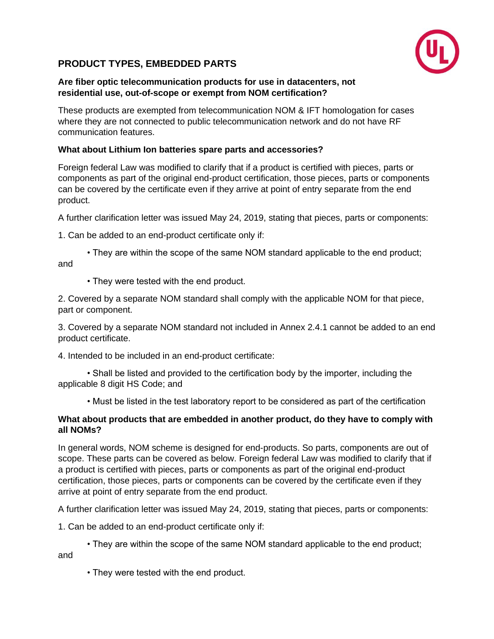# **PRODUCT TYPES, EMBEDDED PARTS**



#### **Are fiber optic telecommunication products for use in datacenters, not residential use, out-of-scope or exempt from NOM certification?**

These products are exempted from telecommunication NOM & IFT homologation for cases where they are not connected to public telecommunication network and do not have RF communication features.

# **What about Lithium Ion batteries spare parts and accessories?**

Foreign federal Law was modified to clarify that if a product is certified with pieces, parts or components as part of the original end-product certification, those pieces, parts or components can be covered by the certificate even if they arrive at point of entry separate from the end product.

A further clarification letter was issued May 24, 2019, stating that pieces, parts or components:

1. Can be added to an end-product certificate only if:

• They are within the scope of the same NOM standard applicable to the end product; and

• They were tested with the end product.

2. Covered by a separate NOM standard shall comply with the applicable NOM for that piece, part or component.

3. Covered by a separate NOM standard not included in Annex 2.4.1 cannot be added to an end product certificate.

4. Intended to be included in an end-product certificate:

• Shall be listed and provided to the certification body by the importer, including the applicable 8 digit HS Code; and

• Must be listed in the test laboratory report to be considered as part of the certification

#### **What about products that are embedded in another product, do they have to comply with all NOMs?**

In general words, NOM scheme is designed for end-products. So parts, components are out of scope. These parts can be covered as below. Foreign federal Law was modified to clarify that if a product is certified with pieces, parts or components as part of the original end-product certification, those pieces, parts or components can be covered by the certificate even if they arrive at point of entry separate from the end product.

A further clarification letter was issued May 24, 2019, stating that pieces, parts or components:

1. Can be added to an end-product certificate only if:

• They are within the scope of the same NOM standard applicable to the end product; and

• They were tested with the end product.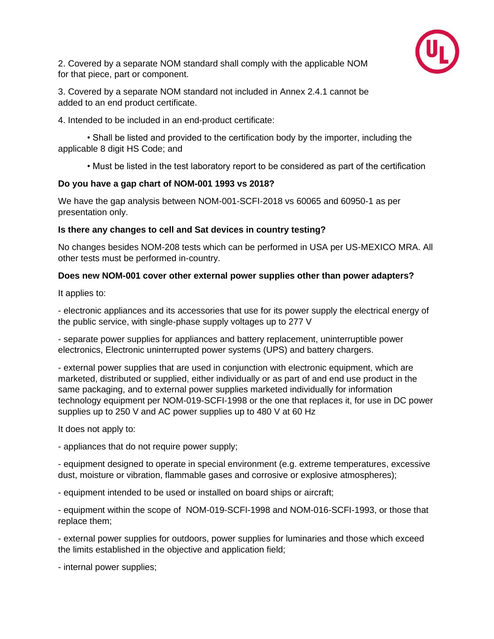

2. Covered by a separate NOM standard shall comply with the applicable NOM for that piece, part or component.

3. Covered by a separate NOM standard not included in Annex 2.4.1 cannot be added to an end product certificate.

4. Intended to be included in an end-product certificate:

• Shall be listed and provided to the certification body by the importer, including the applicable 8 digit HS Code; and

• Must be listed in the test laboratory report to be considered as part of the certification

# **Do you have a gap chart of NOM-001 1993 vs 2018?**

We have the gap analysis between NOM-001-SCFI-2018 vs 60065 and 60950-1 as per presentation only.

#### **Is there any changes to cell and Sat devices in country testing?**

No changes besides NOM-208 tests which can be performed in USA per US-MEXICO MRA. All other tests must be performed in-country.

#### **Does new NOM-001 cover other external power supplies other than power adapters?**

It applies to:

- electronic appliances and its accessories that use for its power supply the electrical energy of the public service, with single-phase supply voltages up to 277 V

- separate power supplies for appliances and battery replacement, uninterruptible power electronics, Electronic uninterrupted power systems (UPS) and battery chargers.

- external power supplies that are used in conjunction with electronic equipment, which are marketed, distributed or supplied, either individually or as part of and end use product in the same packaging, and to external power supplies marketed individually for information technology equipment per NOM-019-SCFI-1998 or the one that replaces it, for use in DC power supplies up to 250 V and AC power supplies up to 480 V at 60 Hz

It does not apply to:

- appliances that do not require power supply;

- equipment designed to operate in special environment (e.g. extreme temperatures, excessive dust, moisture or vibration, flammable gases and corrosive or explosive atmospheres);

- equipment intended to be used or installed on board ships or aircraft;

- equipment within the scope of NOM-019-SCFI-1998 and NOM-016-SCFI-1993, or those that replace them;

- external power supplies for outdoors, power supplies for luminaries and those which exceed the limits established in the objective and application field;

- internal power supplies;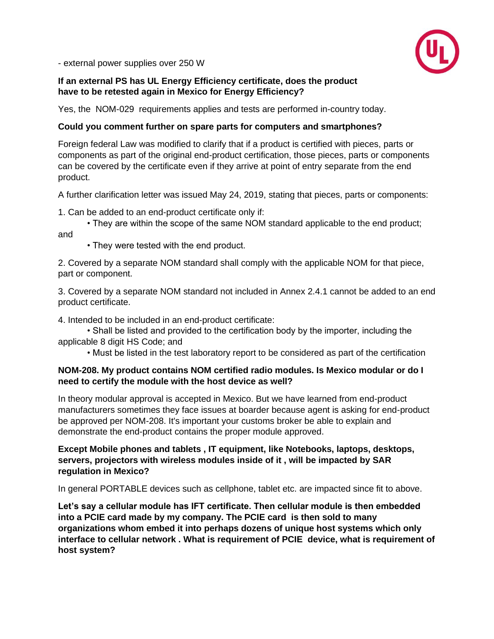

- external power supplies over 250 W

#### **If an external PS has UL Energy Efficiency certificate, does the product have to be retested again in Mexico for Energy Efficiency?**

Yes, the NOM-029 requirements applies and tests are performed in-country today.

#### **Could you comment further on spare parts for computers and smartphones?**

Foreign federal Law was modified to clarify that if a product is certified with pieces, parts or components as part of the original end-product certification, those pieces, parts or components can be covered by the certificate even if they arrive at point of entry separate from the end product.

A further clarification letter was issued May 24, 2019, stating that pieces, parts or components:

1. Can be added to an end-product certificate only if:

• They are within the scope of the same NOM standard applicable to the end product; and

• They were tested with the end product.

2. Covered by a separate NOM standard shall comply with the applicable NOM for that piece, part or component.

3. Covered by a separate NOM standard not included in Annex 2.4.1 cannot be added to an end product certificate.

4. Intended to be included in an end-product certificate:

• Shall be listed and provided to the certification body by the importer, including the applicable 8 digit HS Code; and

• Must be listed in the test laboratory report to be considered as part of the certification

#### **NOM-208. My product contains NOM certified radio modules. Is Mexico modular or do I need to certify the module with the host device as well?**

In theory modular approval is accepted in Mexico. But we have learned from end-product manufacturers sometimes they face issues at boarder because agent is asking for end-product be approved per NOM-208. It's important your customs broker be able to explain and demonstrate the end-product contains the proper module approved.

#### **Except Mobile phones and tablets , IT equipment, like Notebooks, laptops, desktops, servers, projectors with wireless modules inside of it , will be impacted by SAR regulation in Mexico?**

In general PORTABLE devices such as cellphone, tablet etc. are impacted since fit to above.

**Let's say a cellular module has IFT certificate. Then cellular module is then embedded into a PCIE card made by my company. The PCIE card is then sold to many organizations whom embed it into perhaps dozens of unique host systems which only interface to cellular network . What is requirement of PCIE device, what is requirement of host system?**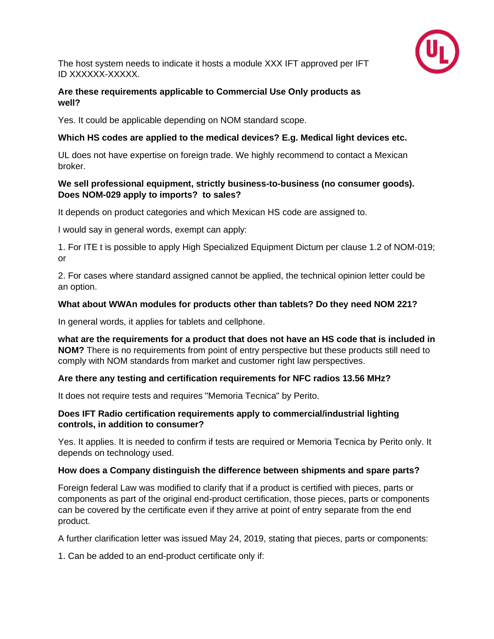

The host system needs to indicate it hosts a module XXX IFT approved per IFT ID XXXXXX-XXXXX.

#### **Are these requirements applicable to Commercial Use Only products as well?**

Yes. It could be applicable depending on NOM standard scope.

# **Which HS codes are applied to the medical devices? E.g. Medical light devices etc.**

UL does not have expertise on foreign trade. We highly recommend to contact a Mexican broker.

#### **We sell professional equipment, strictly business-to-business (no consumer goods). Does NOM-029 apply to imports? to sales?**

It depends on product categories and which Mexican HS code are assigned to.

I would say in general words, exempt can apply:

1. For ITE t is possible to apply High Specialized Equipment Dictum per clause 1.2 of NOM-019; or

2. For cases where standard assigned cannot be applied, the technical opinion letter could be an option.

# **What about WWAn modules for products other than tablets? Do they need NOM 221?**

In general words, it applies for tablets and cellphone.

**what are the requirements for a product that does not have an HS code that is included in NOM?** There is no requirements from point of entry perspective but these products still need to comply with NOM standards from market and customer right law perspectives.

# **Are there any testing and certification requirements for NFC radios 13.56 MHz?**

It does not require tests and requires "Memoria Tecnica" by Perito.

#### **Does IFT Radio certification requirements apply to commercial/industrial lighting controls, in addition to consumer?**

Yes. It applies. It is needed to confirm if tests are required or Memoria Tecnica by Perito only. It depends on technology used.

# **How does a Company distinguish the difference between shipments and spare parts?**

Foreign federal Law was modified to clarify that if a product is certified with pieces, parts or components as part of the original end-product certification, those pieces, parts or components can be covered by the certificate even if they arrive at point of entry separate from the end product.

A further clarification letter was issued May 24, 2019, stating that pieces, parts or components:

1. Can be added to an end-product certificate only if: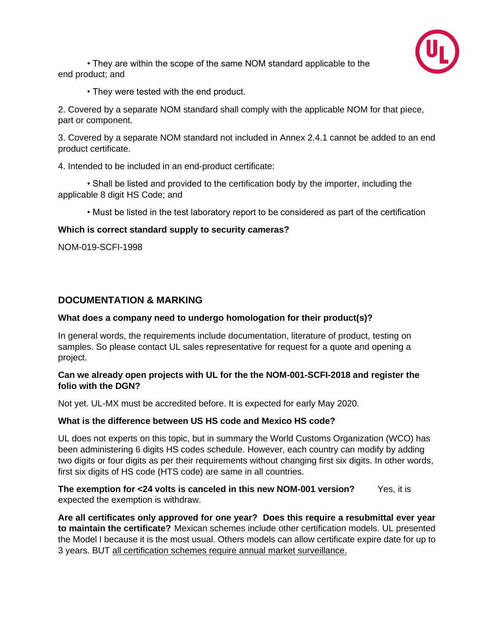

• They are within the scope of the same NOM standard applicable to the end product; and

• They were tested with the end product.

2. Covered by a separate NOM standard shall comply with the applicable NOM for that piece, part or component.

3. Covered by a separate NOM standard not included in Annex 2.4.1 cannot be added to an end product certificate.

4. Intended to be included in an end-product certificate:

• Shall be listed and provided to the certification body by the importer, including the applicable 8 digit HS Code; and

• Must be listed in the test laboratory report to be considered as part of the certification

#### **Which is correct standard supply to security cameras?**

NOM-019-SCFI-1998

#### **DOCUMENTATION & MARKING**

#### **What does a company need to undergo homologation for their product(s)?**

In general words, the requirements include documentation, literature of product, testing on samples. So please contact UL sales representative for request for a quote and opening a project.

#### **Can we already open projects with UL for the the NOM-001-SCFI-2018 and register the folio with the DGN?**

Not yet. UL-MX must be accredited before. It is expected for early May 2020.

#### **What is the difference between US HS code and Mexico HS code?**

UL does not experts on this topic, but in summary the World Customs Organization (WCO) has been administering 6 digits HS codes schedule. However, each country can modify by adding two digits or four digits as per their requirements without changing first six digits. In other words, first six digits of HS code (HTS code) are same in all countries.

**The exemption for <24 volts is canceled in this new NOM-001 version?** Yes, it is expected the exemption is withdraw.

**Are all certificates only approved for one year? Does this require a resubmittal ever year to maintain the certificate?** Mexican schemes include other certification models. UL presented the Model I because it is the most usual. Others models can allow certificate expire date for up to 3 years. BUT all certification schemes require annual market surveillance.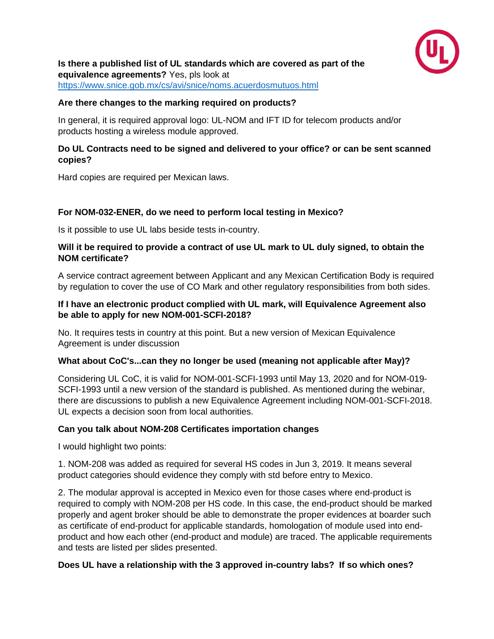

**Is there a published list of UL standards which are covered as part of the equivalence agreements?** Yes, pls look at <https://www.snice.gob.mx/cs/avi/snice/noms.acuerdosmutuos.html>

#### **Are there changes to the marking required on products?**

In general, it is required approval logo: UL-NOM and IFT ID for telecom products and/or products hosting a wireless module approved.

#### **Do UL Contracts need to be signed and delivered to your office? or can be sent scanned copies?**

Hard copies are required per Mexican laws.

# **For NOM-032-ENER, do we need to perform local testing in Mexico?**

Is it possible to use UL labs beside tests in-country.

#### **Will it be required to provide a contract of use UL mark to UL duly signed, to obtain the NOM certificate?**

A service contract agreement between Applicant and any Mexican Certification Body is required by regulation to cover the use of CO Mark and other regulatory responsibilities from both sides.

#### **If I have an electronic product complied with UL mark, will Equivalence Agreement also be able to apply for new NOM-001-SCFI-2018?**

No. It requires tests in country at this point. But a new version of Mexican Equivalence Agreement is under discussion

#### **What about CoC's...can they no longer be used (meaning not applicable after May)?**

Considering UL CoC, it is valid for NOM-001-SCFI-1993 until May 13, 2020 and for NOM-019- SCFI-1993 until a new version of the standard is published. As mentioned during the webinar, there are discussions to publish a new Equivalence Agreement including NOM-001-SCFI-2018. UL expects a decision soon from local authorities.

#### **Can you talk about NOM-208 Certificates importation changes**

I would highlight two points:

1. NOM-208 was added as required for several HS codes in Jun 3, 2019. It means several product categories should evidence they comply with std before entry to Mexico.

2. The modular approval is accepted in Mexico even for those cases where end-product is required to comply with NOM-208 per HS code. In this case, the end-product should be marked properly and agent broker should be able to demonstrate the proper evidences at boarder such as certificate of end-product for applicable standards, homologation of module used into endproduct and how each other (end-product and module) are traced. The applicable requirements and tests are listed per slides presented.

#### **Does UL have a relationship with the 3 approved in-country labs? If so which ones?**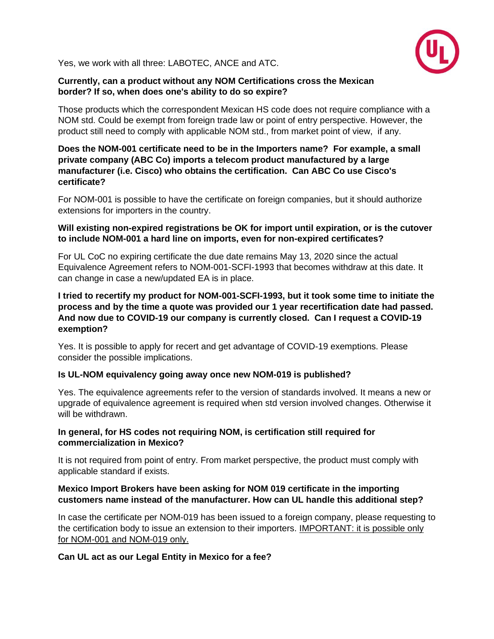

Yes, we work with all three: LABOTEC, ANCE and ATC.

#### **Currently, can a product without any NOM Certifications cross the Mexican border? If so, when does one's ability to do so expire?**

Those products which the correspondent Mexican HS code does not require compliance with a NOM std. Could be exempt from foreign trade law or point of entry perspective. However, the product still need to comply with applicable NOM std., from market point of view, if any.

#### **Does the NOM-001 certificate need to be in the Importers name? For example, a small private company (ABC Co) imports a telecom product manufactured by a large manufacturer (i.e. Cisco) who obtains the certification. Can ABC Co use Cisco's certificate?**

For NOM-001 is possible to have the certificate on foreign companies, but it should authorize extensions for importers in the country.

#### **Will existing non-expired registrations be OK for import until expiration, or is the cutover to include NOM-001 a hard line on imports, even for non-expired certificates?**

For UL CoC no expiring certificate the due date remains May 13, 2020 since the actual Equivalence Agreement refers to NOM-001-SCFI-1993 that becomes withdraw at this date. It can change in case a new/updated EA is in place.

#### **I tried to recertify my product for NOM-001-SCFI-1993, but it took some time to initiate the process and by the time a quote was provided our 1 year recertification date had passed. And now due to COVID-19 our company is currently closed. Can I request a COVID-19 exemption?**

Yes. It is possible to apply for recert and get advantage of COVID-19 exemptions. Please consider the possible implications.

#### **Is UL-NOM equivalency going away once new NOM-019 is published?**

Yes. The equivalence agreements refer to the version of standards involved. It means a new or upgrade of equivalence agreement is required when std version involved changes. Otherwise it will be withdrawn.

#### **In general, for HS codes not requiring NOM, is certification still required for commercialization in Mexico?**

It is not required from point of entry. From market perspective, the product must comply with applicable standard if exists.

#### **Mexico Import Brokers have been asking for NOM 019 certificate in the importing customers name instead of the manufacturer. How can UL handle this additional step?**

In case the certificate per NOM-019 has been issued to a foreign company, please requesting to the certification body to issue an extension to their importers. IMPORTANT: it is possible only for NOM-001 and NOM-019 only.

#### **Can UL act as our Legal Entity in Mexico for a fee?**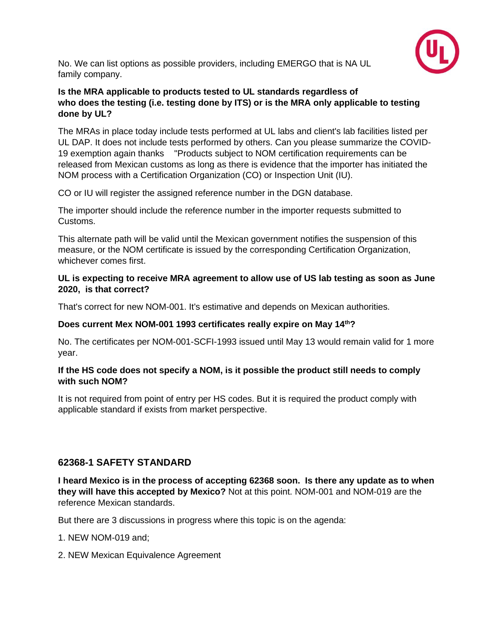

No. We can list options as possible providers, including EMERGO that is NA UL family company.

# **Is the MRA applicable to products tested to UL standards regardless of who does the testing (i.e. testing done by ITS) or is the MRA only applicable to testing done by UL?**

The MRAs in place today include tests performed at UL labs and client's lab facilities listed per UL DAP. It does not include tests performed by others. Can you please summarize the COVID-19 exemption again thanks "Products subject to NOM certification requirements can be released from Mexican customs as long as there is evidence that the importer has initiated the NOM process with a Certification Organization (CO) or Inspection Unit (IU).

CO or IU will register the assigned reference number in the DGN database.

The importer should include the reference number in the importer requests submitted to Customs.

This alternate path will be valid until the Mexican government notifies the suspension of this measure, or the NOM certificate is issued by the corresponding Certification Organization, whichever comes first.

#### **UL is expecting to receive MRA agreement to allow use of US lab testing as soon as June 2020, is that correct?**

That's correct for new NOM-001. It's estimative and depends on Mexican authorities.

# **Does current Mex NOM-001 1993 certificates really expire on May 14th?**

No. The certificates per NOM-001-SCFI-1993 issued until May 13 would remain valid for 1 more year.

#### **If the HS code does not specify a NOM, is it possible the product still needs to comply with such NOM?**

It is not required from point of entry per HS codes. But it is required the product comply with applicable standard if exists from market perspective.

# **62368-1 SAFETY STANDARD**

**I heard Mexico is in the process of accepting 62368 soon. Is there any update as to when they will have this accepted by Mexico?** Not at this point. NOM-001 and NOM-019 are the reference Mexican standards.

But there are 3 discussions in progress where this topic is on the agenda:

1. NEW NOM-019 and;

2. NEW Mexican Equivalence Agreement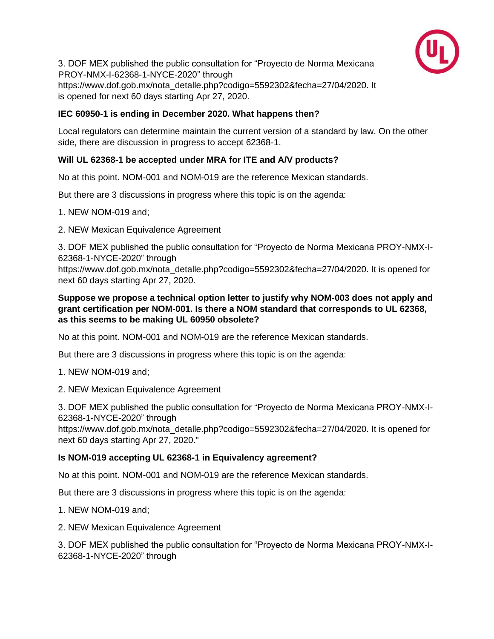

3. DOF MEX published the public consultation for "Proyecto de Norma Mexicana PROY-NMX-I-62368-1-NYCE-2020" through https://www.dof.gob.mx/nota\_detalle.php?codigo=5592302&fecha=27/04/2020. It is opened for next 60 days starting Apr 27, 2020.

# **IEC 60950-1 is ending in December 2020. What happens then?**

Local regulators can determine maintain the current version of a standard by law. On the other side, there are discussion in progress to accept 62368-1.

# **Will UL 62368-1 be accepted under MRA for ITE and A/V products?**

No at this point. NOM-001 and NOM-019 are the reference Mexican standards.

But there are 3 discussions in progress where this topic is on the agenda:

1. NEW NOM-019 and;

2. NEW Mexican Equivalence Agreement

3. DOF MEX published the public consultation for "Proyecto de Norma Mexicana PROY-NMX-I-62368-1-NYCE-2020" through

https://www.dof.gob.mx/nota\_detalle.php?codigo=5592302&fecha=27/04/2020. It is opened for next 60 days starting Apr 27, 2020.

# **Suppose we propose a technical option letter to justify why NOM-003 does not apply and grant certification per NOM-001. Is there a NOM standard that corresponds to UL 62368, as this seems to be making UL 60950 obsolete?**

No at this point. NOM-001 and NOM-019 are the reference Mexican standards.

But there are 3 discussions in progress where this topic is on the agenda:

1. NEW NOM-019 and;

2. NEW Mexican Equivalence Agreement

3. DOF MEX published the public consultation for "Proyecto de Norma Mexicana PROY-NMX-I-62368-1-NYCE-2020" through

https://www.dof.gob.mx/nota\_detalle.php?codigo=5592302&fecha=27/04/2020. It is opened for next 60 days starting Apr 27, 2020."

# **Is NOM-019 accepting UL 62368-1 in Equivalency agreement?**

No at this point. NOM-001 and NOM-019 are the reference Mexican standards.

But there are 3 discussions in progress where this topic is on the agenda:

1. NEW NOM-019 and;

2. NEW Mexican Equivalence Agreement

3. DOF MEX published the public consultation for "Proyecto de Norma Mexicana PROY-NMX-I-62368-1-NYCE-2020" through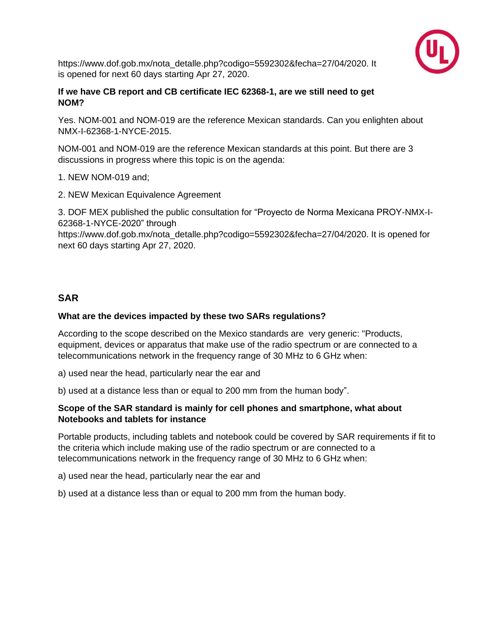

https://www.dof.gob.mx/nota\_detalle.php?codigo=5592302&fecha=27/04/2020. It is opened for next 60 days starting Apr 27, 2020.

#### **If we have CB report and CB certificate IEC 62368-1, are we still need to get NOM?**

Yes. NOM-001 and NOM-019 are the reference Mexican standards. Can you enlighten about NMX-I-62368-1-NYCE-2015.

NOM-001 and NOM-019 are the reference Mexican standards at this point. But there are 3 discussions in progress where this topic is on the agenda:

1. NEW NOM-019 and;

2. NEW Mexican Equivalence Agreement

3. DOF MEX published the public consultation for "Proyecto de Norma Mexicana PROY-NMX-I-62368-1-NYCE-2020" through

https://www.dof.gob.mx/nota\_detalle.php?codigo=5592302&fecha=27/04/2020. It is opened for next 60 days starting Apr 27, 2020.

# **SAR**

#### **What are the devices impacted by these two SARs regulations?**

According to the scope described on the Mexico standards are very generic: "Products, equipment, devices or apparatus that make use of the radio spectrum or are connected to a telecommunications network in the frequency range of 30 MHz to 6 GHz when:

a) used near the head, particularly near the ear and

b) used at a distance less than or equal to 200 mm from the human body".

#### **Scope of the SAR standard is mainly for cell phones and smartphone, what about Notebooks and tablets for instance**

Portable products, including tablets and notebook could be covered by SAR requirements if fit to the criteria which include making use of the radio spectrum or are connected to a telecommunications network in the frequency range of 30 MHz to 6 GHz when:

a) used near the head, particularly near the ear and

b) used at a distance less than or equal to 200 mm from the human body.